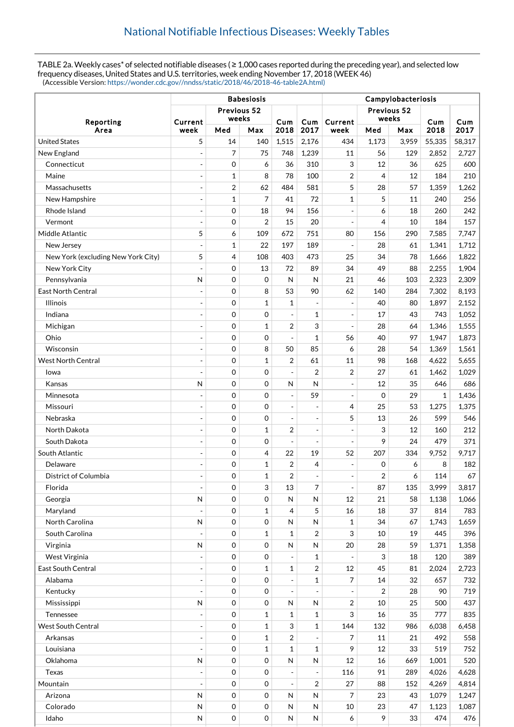TABLE 2a. Weekly cases\* of selected notifiable diseases ( $\geq 1,000$  cases reported during the preceding year), and selected low frequency diseases, United States and U.S. territories, week ending November 17, 2018 (WEEK 46) (Accessible Version: [https://wonder.cdc.gov//nndss/static/2018/46/2018-46-table2A.html\)](https://wonder.cdc.gov//nndss/static/2018/46/2018-46-table2A.html)

|                                    | <b>Babesiosis</b>        |              |                     |                          |                          | Campylobacteriosis      |                         |       |              |        |  |
|------------------------------------|--------------------------|--------------|---------------------|--------------------------|--------------------------|-------------------------|-------------------------|-------|--------------|--------|--|
| Reporting<br>Area                  | Previous 52              |              |                     |                          |                          |                         | Previous 52             |       |              |        |  |
|                                    | Current                  | weeks        |                     | Cum                      | Cum                      | Current                 | weeks                   |       | Cum          | Cum    |  |
|                                    | week                     | Med          | Max                 | 2018                     | 2017                     | week                    | Med                     | Max   | 2018         | 2017   |  |
| <b>United States</b>               | 5                        | 14           | 140                 | 1,515                    | 2,176                    | 434                     | 1,173                   | 3,959 | 55,335       | 58,317 |  |
| New England                        |                          | 7            | 75                  | 748                      | 1,239                    | 11                      | 56                      | 129   | 2,852        | 2,727  |  |
| Connecticut                        | $\overline{a}$           | 0            | 6                   | 36                       | 310                      | 3                       | 12                      | 36    | 625          | 600    |  |
| Maine                              |                          | $\mathbf 1$  | 8                   | 78                       | 100                      | $\overline{2}$          | 4                       | 12    | 184          | 210    |  |
| Massachusetts                      | $\overline{a}$           | 2            | 62                  | 484                      | 581                      | 5                       | 28                      | 57    | 1,359        | 1,262  |  |
| New Hampshire                      |                          | $\mathbf{1}$ | $\overline{7}$      | 41                       | 72                       | $\mathbf{1}$            | 5                       | 11    | 240          | 256    |  |
| Rhode Island                       |                          | $\mathbf 0$  | 18                  | 94                       | 156                      | $\overline{a}$          | 6                       | 18    | 260          | 242    |  |
| Vermont                            |                          | $\mathbf 0$  | $\overline{2}$      | 15                       | 20                       | $\overline{a}$          | 4                       | 10    | 184          | 157    |  |
| Middle Atlantic                    | 5                        | 6            | 109                 | 672                      | 751                      | 80                      | 156                     | 290   | 7,585        | 7,747  |  |
| New Jersey                         |                          | $\mathbf{1}$ | 22                  | 197                      | 189                      | ÷,                      | 28                      | 61    | 1,341        | 1,712  |  |
| New York (excluding New York City) | 5                        | 4            | 108                 | 403                      | 473                      | 25                      | 34                      | 78    | 1,666        | 1,822  |  |
| New York City                      | ÷,                       | $\mathbf 0$  | 13                  | 72                       | 89                       | 34                      | 49                      | 88    | 2,255        | 1,904  |  |
| Pennsylvania                       | N                        | $\mathbf 0$  | $\mathbf 0$         | N                        | N                        | 21                      | 46                      | 103   | 2,323        | 2,309  |  |
| <b>East North Central</b>          |                          | 0            | 8                   | 53                       | 90                       | 62                      | 140                     | 284   | 7,302        | 8,193  |  |
| <b>Illinois</b>                    |                          | $\mathbf 0$  | $\mathbf{1}$        | 1                        |                          | $\overline{a}$          | 40                      | 80    | 1,897        | 2,152  |  |
| Indiana                            | ÷,                       | $\mathbf 0$  | $\mathbf 0$         | $\blacksquare$           | $\mathbf{1}$             | ÷,                      | 17                      | 43    | 743          | 1,052  |  |
| Michigan                           |                          | $\mathbf 0$  | 1                   | $\overline{2}$           | 3                        | $\overline{a}$          | 28                      | 64    | 1,346        | 1.555  |  |
| Ohio                               |                          | $\mathbf 0$  | $\boldsymbol{0}$    | $\overline{a}$           | $\mathbf{1}$             | 56                      | 40                      | 97    | 1,947        | 1,873  |  |
| Wisconsin                          |                          | $\mathbf 0$  | 8                   | 50                       | 85                       | 6                       | 28                      | 54    | 1,369        | 1,561  |  |
| <b>West North Central</b>          | $\overline{a}$           | 0            | $\mathbf{1}$        | $\overline{c}$           | 61                       | 11                      | 98                      | 168   | 4,622        | 5,655  |  |
| lowa                               |                          | 0            | $\mathbf 0$         | $\blacksquare$           | $\overline{2}$           | 2                       | 27                      | 61    | 1,462        | 1,029  |  |
| Kansas                             | N                        | 0            | $\mathbf 0$         | N                        | N                        | $\overline{a}$          | 12                      | 35    | 646          | 686    |  |
| Minnesota                          |                          | 0            | $\mathbf 0$         | $\overline{a}$           | 59                       | $\overline{a}$          | 0                       | 29    | $\mathbf{1}$ | 1,436  |  |
| Missouri                           |                          | $\mathbf 0$  | $\mathbf 0$         | $\overline{a}$           | ÷,                       | 4                       | 25                      | 53    | 1,275        | 1,375  |  |
| Nebraska                           | $\overline{\phantom{a}}$ | $\mathbf 0$  | $\mathbf 0$         | $\overline{\phantom{a}}$ | ÷,                       | 5                       | 13                      | 26    | 599          | 546    |  |
| North Dakota                       | ÷,                       | $\mathbf 0$  | 1                   | $\overline{2}$           | ÷,                       | $\overline{a}$          | 3                       | 12    | 160          | 212    |  |
| South Dakota                       | $\overline{\phantom{a}}$ | $\mathbf 0$  | $\mathbf 0$         | $\overline{a}$           | $\overline{a}$           | ÷,                      | 9                       | 24    | 479          | 371    |  |
| South Atlantic                     |                          | $\mathbf 0$  | 4                   | 22                       | 19                       | 52                      | 207                     | 334   | 9,752        | 9,717  |  |
| Delaware                           |                          | 0            | 1                   | 2                        | 4                        | $\frac{1}{2}$           | 0                       | 6     | 8            | 182    |  |
| District of Columbia               |                          | 0            | $\mathbf{1}$        | $\overline{2}$           |                          |                         | $\overline{\mathbf{c}}$ | 6     | 114          | 67     |  |
| Florida                            |                          | 0            | 3                   | 13                       | 7                        | $\blacksquare$          | 87                      | 135   | 3,999        | 3,817  |  |
| Georgia                            | $\overline{\mathsf{N}}$  | 0            | $\boldsymbol{0}$    | $\mathsf{N}$             | N                        | 12                      | 21                      | 58    | 1,138        | 1,066  |  |
| Maryland                           |                          | 0            | $\mathbf{1}$        | $\overline{4}$           | 5                        | 16                      | 18                      | 37    | 814          | 783    |  |
| North Carolina                     | $\mathsf{N}$             | 0            | $\boldsymbol{0}$    | $\mathsf{N}$             | N                        | $\mathbf 1$             | 34                      | 67    | 1,743        | 1,659  |  |
| South Carolina                     |                          | 0            | $\mathbf{1}$        | $\mathbf 1$              | $\overline{2}$           | 3                       | 10                      | 19    | 445          | 396    |  |
| Virginia                           | N                        | 0            | $\boldsymbol{0}$    | $\mathsf{N}$             | N                        | 20                      | 28                      | 59    | 1,371        | 1,358  |  |
| West Virginia                      |                          | 0            | $\mathbf 0$         |                          | $\mathbf{1}$             |                         | 3                       | 18    | 120          | 389    |  |
| <b>East South Central</b>          | $\frac{1}{2}$            | 0            | $\mathbf{1}$        | $\mathbf 1$              | $\overline{\mathbf{c}}$  | 12                      | 45                      | 81    | 2,024        | 2,723  |  |
| Alabama                            |                          | 0            | $\mathbf 0$         | $\overline{a}$           | $\mathbf{1}$             | 7                       | 14                      | 32    | 657          | 732    |  |
| Kentucky                           |                          | $\mathbf 0$  | 0                   |                          |                          |                         | 2                       | 28    | 90           | 719    |  |
| Mississippi                        | ${\sf N}$                | $\mathbf 0$  | $\boldsymbol{0}$    | $\mathsf{N}$             | ${\sf N}$                | $\overline{\mathbf{c}}$ | 10                      | 25    | 500          | 437    |  |
| Tennessee                          |                          | 0            | $\mathbf{1}$        | $\mathbf 1$              | $\mathbf{1}$             | 3                       | 16                      | 35    | 777          | 835    |  |
| <b>West South Central</b>          | $\overline{\phantom{a}}$ | 0            | $\mathbf 1$         | 3                        | $\mathbf{1}$             | 144                     | 132                     | 986   | 6,038        | 6,458  |  |
| Arkansas                           |                          | 0            | $\mathbf 1$         | $\overline{c}$           |                          | 7                       | 11                      | 21    | 492          | 558    |  |
| Louisiana                          |                          | 0            | $\mathbf 1$         | $\mathbf{1}$             | $\mathbf{1}$             | 9                       | 12                      | 33    | 519          | 752    |  |
| Oklahoma                           | ${\sf N}$                | 0            | $\mathbf 0$         | $\mathsf{N}$             | $\mathsf{N}$             | 12                      | 16                      | 669   | 1,001        | 520    |  |
| Texas                              | $\overline{\phantom{a}}$ | 0            | 0                   | $\overline{a}$           | $\overline{\phantom{a}}$ | 116                     | 91                      | 289   | 4,026        | 4,628  |  |
| Mountain                           |                          | 0            | 0                   | $\overline{a}$           | 2                        | 27                      | 88                      | 152   | 4,269        | 4,814  |  |
| Arizona                            | $\mathsf{N}$             | 0            | $\boldsymbol{0}$    | N                        | N                        | 7                       | 23                      | 43    | 1,079        | 1,247  |  |
| Colorado                           | ${\sf N}$                | $\mbox{O}$   | $\boldsymbol{0}$    | $\mathsf{N}$             | ${\sf N}$                | 10                      | 23                      | 47    | 1,123        | 1,087  |  |
| Idaho                              | ${\sf N}$                | $\mbox{O}$   | $\mathsf{O}\xspace$ | ${\sf N}$                | N                        | 6                       | 9                       | 33    | 474          | 476    |  |